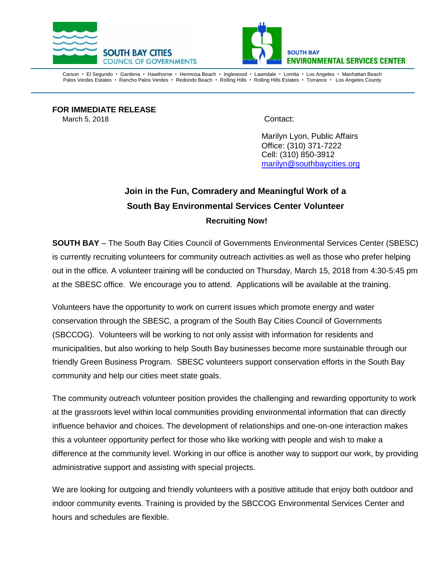



Carson • El Segundo • Gardena • Hawthorne • Hermosa Beach • Inglewood • Lawndale • Lomita • Los Angeles • Manhattan Beach Palos Verdes Estates · Rancho Palos Verdes · Redondo Beach · Rolling Hills · Rolling Hills Estates · Torrance · Los Angeles County

**FOR IMMEDIATE RELEASE**  March 5, 2018 Contact:

Marilyn Lyon, Public Affairs Office: (310) 371-7222 Cell: (310) 850-3912 [marilyn@southbaycities.org](mailto:marilyn@southbaycities.org)

## **Join in the Fun, Comradery and Meaningful Work of a South Bay Environmental Services Center Volunteer Recruiting Now!**

**SOUTH BAY** – The South Bay Cities Council of Governments Environmental Services Center (SBESC) is currently recruiting volunteers for community outreach activities as well as those who prefer helping out in the office. A volunteer training will be conducted on Thursday, March 15, 2018 from 4:30-5:45 pm at the SBESC office. We encourage you to attend. Applications will be available at the training.

Volunteers have the opportunity to work on current issues which promote energy and water conservation through the SBESC, a program of the South Bay Cities Council of Governments (SBCCOG). Volunteers will be working to not only assist with information for residents and municipalities, but also working to help South Bay businesses become more sustainable through our friendly Green Business Program. SBESC volunteers support conservation efforts in the South Bay community and help our cities meet state goals.

The community outreach volunteer position provides the challenging and rewarding opportunity to work at the grassroots level within local communities providing environmental information that can directly influence behavior and choices. The development of relationships and one-on-one interaction makes this a volunteer opportunity perfect for those who like working with people and wish to make a difference at the community level. Working in our office is another way to support our work, by providing administrative support and assisting with special projects.

We are looking for outgoing and friendly volunteers with a positive attitude that enjoy both outdoor and indoor community events. Training is provided by the SBCCOG Environmental Services Center and hours and schedules are flexible.